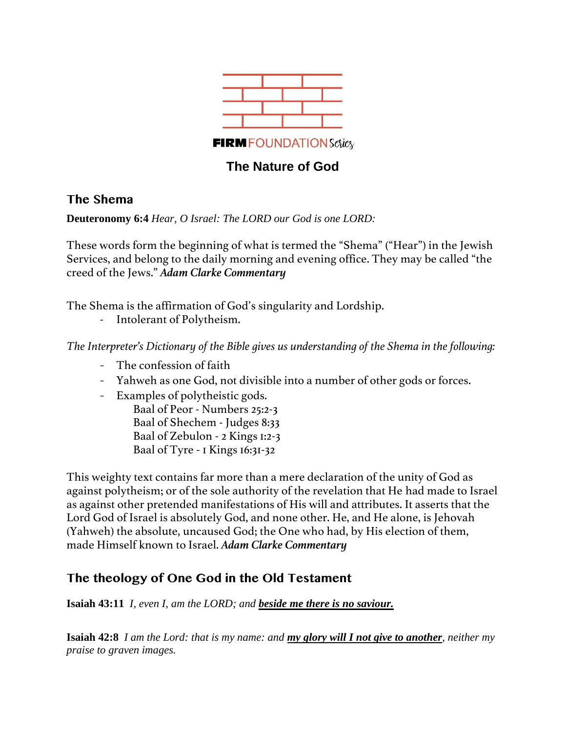

# **The Nature of God**

## **The Shema**

**Deuteronomy 6:4** *Hear, O Israel: The LORD our God is one LORD:*

These words form the beginning of what is termed the "Shema" ("Hear") in the Jewish Services, and belong to the daily morning and evening office. They may be called "the creed of the Jews." *Adam Clarke Commentary*

The Shema is the affirmation of God's singularity and Lordship.

- Intolerant of Polytheism.

*The Interpreter's Dictionary of the Bible gives us understanding of the Shema in the following:*

- The confession of faith
- Yahweh as one God, not divisible into a number of other gods or forces.
- Examples of polytheistic gods.

Baal of Peor - Numbers 25:2-3 Baal of Shechem - Judges 8:33 Baal of Zebulon - 2 Kings 1:2-3 Baal of Tyre - 1 Kings 16:31-32

This weighty text contains far more than a mere declaration of the unity of God as against polytheism; or of the sole authority of the revelation that He had made to Israel as against other pretended manifestations of His will and attributes. It asserts that the Lord God of Israel is absolutely God, and none other. He, and He alone, is Jehovah (Yahweh) the absolute, uncaused God; the One who had, by His election of them, made Himself known to Israel. *Adam Clarke Commentary*

# **The theology of One God in the Old Testament**

**Isaiah 43:11** *I, even I, am the LORD; and beside me there is no saviour.*

**Isaiah 42:8** *I am the Lord: that is my name: and my glory will I not give to another, neither my praise to graven images.*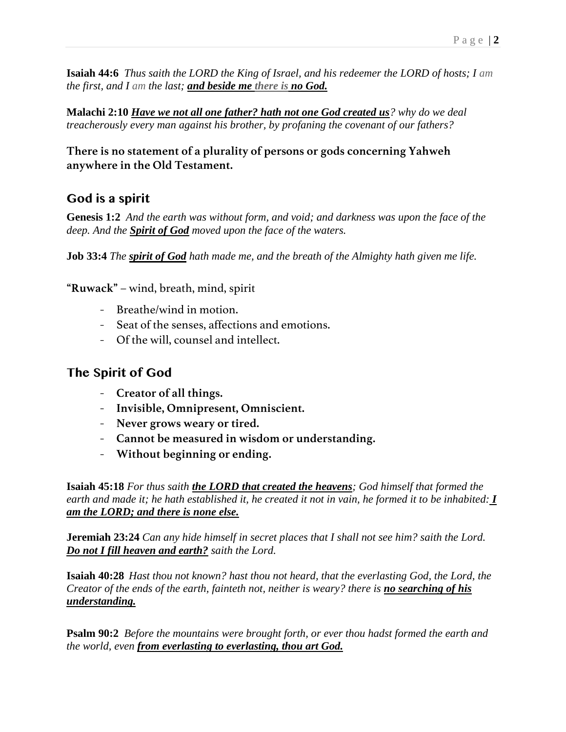**Isaiah 44:6** *Thus saith the LORD the King of Israel, and his redeemer the LORD of hosts; I am the first, and I am the last; and beside me there is no God.*

**Malachi 2:10** *Have we not all one father? hath not one God created us? why do we deal treacherously every man against his brother, by profaning the covenant of our fathers?*

## **There is no statement of a plurality of persons or gods concerning Yahweh anywhere in the Old Testament.**

# **God is a spirit**

**Genesis 1:2** *And the earth was without form, and void; and darkness was upon the face of the deep. And the Spirit of God moved upon the face of the waters.*

**Job 33:4** *The spirit of God hath made me, and the breath of the Almighty hath given me life.*

**"Ruwack"** – wind, breath, mind, spirit

- Breathe/wind in motion.
- Seat of the senses, affections and emotions.
- Of the will, counsel and intellect.

# **The Spirit of God**

- **Creator of all things.**
- **Invisible, Omnipresent, Omniscient.**
- **Never grows weary or tired.**
- **Cannot be measured in wisdom or understanding.**
- **Without beginning or ending.**

**Isaiah 45:18** *For thus saith the LORD that created the heavens; God himself that formed the earth and made it; he hath established it, he created it not in vain, he formed it to be inhabited: I am the LORD; and there is none else.*

**Jeremiah 23:24** *Can any hide himself in secret places that I shall not see him? saith the Lord. Do not I fill heaven and earth? saith the Lord.*

**Isaiah 40:28** *Hast thou not known? hast thou not heard, that the everlasting God, the Lord, the Creator of the ends of the earth, fainteth not, neither is weary? there is no searching of his understanding.*

**Psalm 90:2** *Before the mountains were brought forth, or ever thou hadst formed the earth and the world, even from everlasting to everlasting, thou art God.*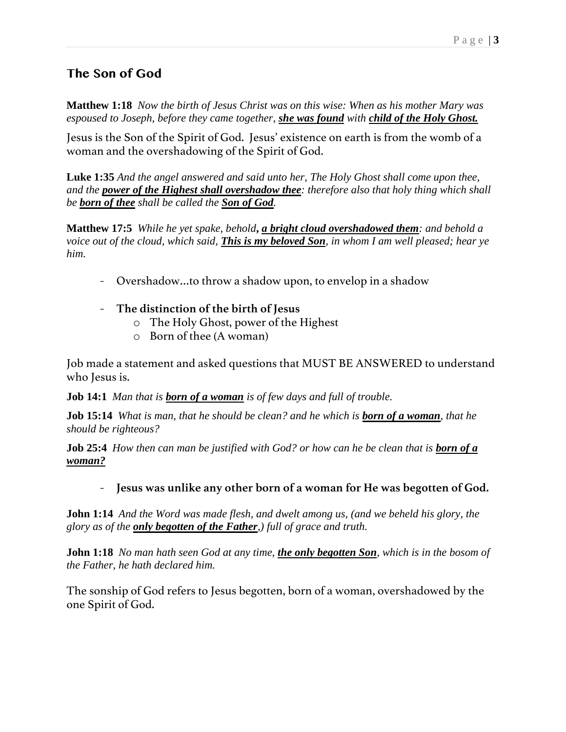# **The Son of God**

**Matthew 1:18** *Now the birth of Jesus Christ was on this wise: When as his mother Mary was espoused to Joseph, before they came together, she was found with child of the Holy Ghost.*

Jesus is the Son of the Spirit of God. Jesus' existence on earth is from the womb of a woman and the overshadowing of the Spirit of God.

**Luke 1:35** *And the angel answered and said unto her, The Holy Ghost shall come upon thee, and the power of the Highest shall overshadow thee: therefore also that holy thing which shall be born of thee shall be called the Son of God.*

**Matthew 17:5** *While he yet spake, behold***,** *a bright cloud overshadowed them: and behold a voice out of the cloud, which said, This is my beloved Son, in whom I am well pleased; hear ye him.* 

- Overshadow…to throw a shadow upon, to envelop in a shadow
- **The distinction of the birth of Jesus**
	- o The Holy Ghost, power of the Highest
	- o Born of thee (A woman)

Job made a statement and asked questions that MUST BE ANSWERED to understand who Jesus is.

**Job 14:1** *Man that is born of a woman is of few days and full of trouble.*

**Job 15:14** *What is man, that he should be clean? and he which is born of a woman, that he should be righteous?*

**Job 25:4** *How then can man be justified with God? or how can he be clean that is born of a woman?*

## - **Jesus was unlike any other born of a woman for He was begotten of God.**

**John 1:14** *And the Word was made flesh, and dwelt among us, (and we beheld his glory, the glory as of the only begotten of the Father,) full of grace and truth.*

**John 1:18** *No man hath seen God at any time, the only begotten Son, which is in the bosom of the Father, he hath declared him.*

The sonship of God refers to Jesus begotten, born of a woman, overshadowed by the one Spirit of God.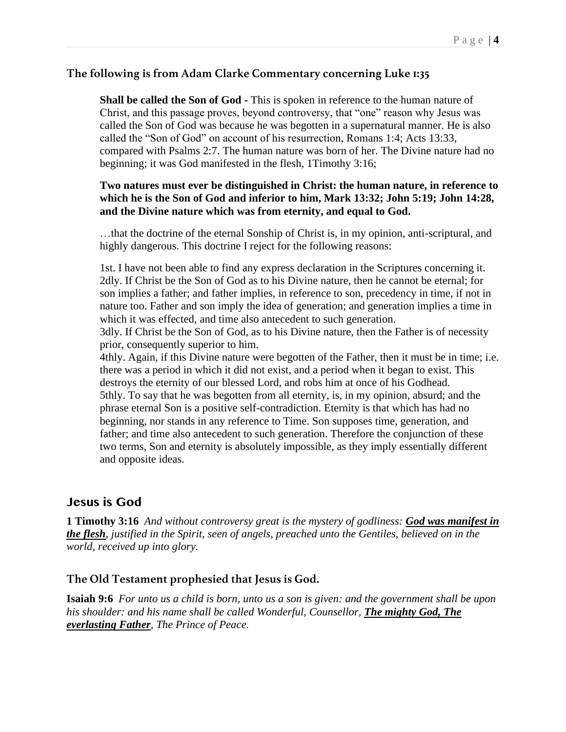#### **The following is from Adam Clarke Commentary concerning Luke 1:35**

**Shall be called the Son of God -** This is spoken in reference to the human nature of Christ, and this passage proves, beyond controversy, that "one" reason why Jesus was called the Son of God was because he was begotten in a supernatural manner. He is also called the "Son of God" on account of his resurrection, Romans 1:4; Acts 13:33, compared with Psalms 2:7. The human nature was born of her. The Divine nature had no beginning; it was God manifested in the flesh, 1Timothy 3:16;

#### **Two natures must ever be distinguished in Christ: the human nature, in reference to which he is the Son of God and inferior to him, Mark 13:32; John 5:19; John 14:28, and the Divine nature which was from eternity, and equal to God.**

…that the doctrine of the eternal Sonship of Christ is, in my opinion, anti-scriptural, and highly dangerous. This doctrine I reject for the following reasons:

1st. I have not been able to find any express declaration in the Scriptures concerning it. 2dly. If Christ be the Son of God as to his Divine nature, then he cannot be eternal; for son implies a father; and father implies, in reference to son, precedency in time, if not in nature too. Father and son imply the idea of generation; and generation implies a time in which it was effected, and time also antecedent to such generation.

3dly. If Christ be the Son of God, as to his Divine nature, then the Father is of necessity prior, consequently superior to him.

4thly. Again, if this Divine nature were begotten of the Father, then it must be in time; i.e. there was a period in which it did not exist, and a period when it began to exist. This destroys the eternity of our blessed Lord, and robs him at once of his Godhead. 5thly. To say that he was begotten from all eternity, is, in my opinion, absurd; and the phrase eternal Son is a positive self-contradiction. Eternity is that which has had no beginning, nor stands in any reference to Time. Son supposes time, generation, and father; and time also antecedent to such generation. Therefore the conjunction of these two terms, Son and eternity is absolutely impossible, as they imply essentially different and opposite ideas.

### **Jesus is God**

**1 Timothy 3:16** *And without controversy great is the mystery of godliness: God was manifest in the flesh, justified in the Spirit, seen of angels, preached unto the Gentiles, believed on in the world, received up into glory.*

#### **The Old Testament prophesied that Jesus is God.**

**Isaiah 9:6** *For unto us a child is born, unto us a son is given: and the government shall be upon his shoulder: and his name shall be called Wonderful, Counsellor, The mighty God, The everlasting Father, The Prince of Peace.*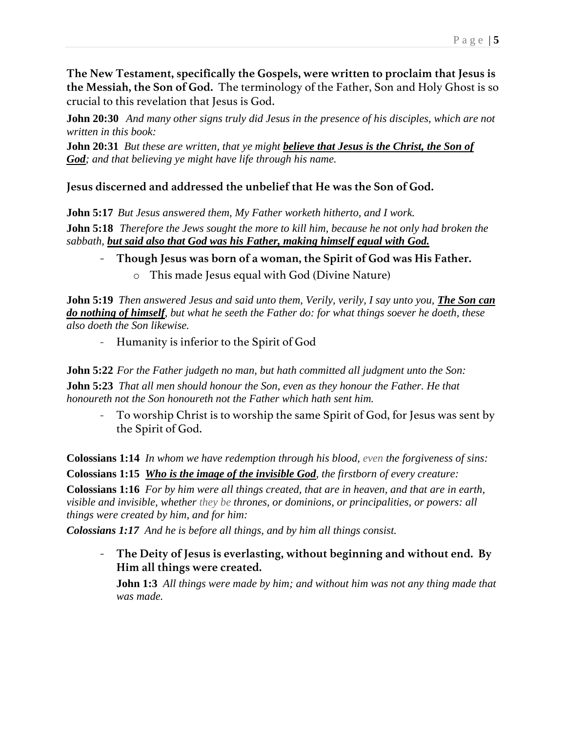**The New Testament, specifically the Gospels, were written to proclaim that Jesus is the Messiah, the Son of God.** The terminology of the Father, Son and Holy Ghost is so crucial to this revelation that Jesus is God.

**John 20:30** *And many other signs truly did Jesus in the presence of his disciples, which are not written in this book:*

**John 20:31** *But these are written, that ye might believe that Jesus is the Christ, the Son of God; and that believing ye might have life through his name.*

## **Jesus discerned and addressed the unbelief that He was the Son of God.**

**John 5:17** *But Jesus answered them, My Father worketh hitherto, and I work.*

**John 5:18** *Therefore the Jews sought the more to kill him, because he not only had broken the sabbath, but said also that God was his Father, making himself equal with God.*

- **Though Jesus was born of a woman, the Spirit of God was His Father.**

o This made Jesus equal with God (Divine Nature)

**John 5:19** *Then answered Jesus and said unto them, Verily, verily, I say unto you, The Son can do nothing of himself, but what he seeth the Father do: for what things soever he doeth, these also doeth the Son likewise.*

- Humanity is inferior to the Spirit of God

**John 5:22** *For the Father judgeth no man, but hath committed all judgment unto the Son:* **John 5:23** *That all men should honour the Son, even as they honour the Father. He that honoureth not the Son honoureth not the Father which hath sent him.*

To worship Christ is to worship the same Spirit of God, for Jesus was sent by the Spirit of God.

**Colossians 1:14** *In whom we have redemption through his blood, even the forgiveness of sins:* **Colossians 1:15** *Who is the image of the invisible God, the firstborn of every creature:*

**Colossians 1:16** *For by him were all things created, that are in heaven, and that are in earth, visible and invisible, whether they be thrones, or dominions, or principalities, or powers: all things were created by him, and for him:*

*Colossians 1:17 And he is before all things, and by him all things consist.*

- **The Deity of Jesus is everlasting, without beginning and without end. By Him all things were created.** 

**John 1:3** *All things were made by him; and without him was not any thing made that was made.*